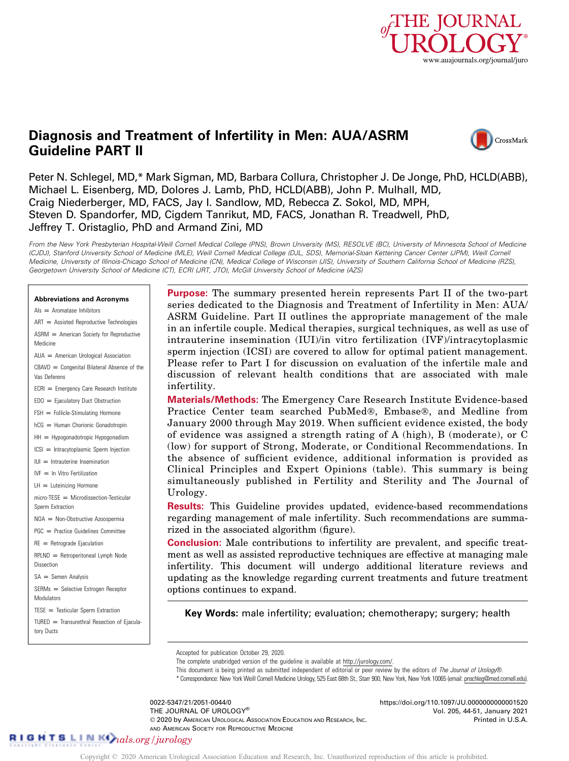

# Diagnosis and Treatment of Infertility in Men: AUA/ASRM Guideline PART II



Peter N. Schlegel, MD,\* Mark Sigman, MD, Barbara Collura, Christopher J. De Jonge, PhD, HCLD(ABB), Michael L. Eisenberg, MD, Dolores J. Lamb, PhD, HCLD(ABB), John P. Mulhall, MD, Craig Niederberger, MD, FACS, Jay I. Sandlow, MD, Rebecca Z. Sokol, MD, MPH, Steven D. Spandorfer, MD, Cigdem Tanrikut, MD, FACS, Jonathan R. Treadwell, PhD, Jeffrey T. Oristaglio, PhD and Armand Zini, MD

From the New York Presbyterian Hospital-Weill Cornell Medical College (PNS), Brown University (MS), RESOLVE (BC), University of Minnesota School of Medicine (CJDJ), Stanford University School of Medicine (MLE), Weill Cornell Medical College (DJL, SDS), Memorial-Sloan Kettering Cancer Center (JPM), Weill Cornell Medicine, University of Illinois-Chicago School of Medicine (CN), Medical College of Wisconsin (JIS), University of Southern California School of Medicine (RZS), Georgetown University School of Medicine (CT), ECRI (JRT, JTO), McGill University School of Medicine (AZS)

#### Abbreviations and Acronyms

 $Als = Aromatase Inhibitors$  $ART =$  Assisted Reproductive Technologies  $ASRM =$  American Society for Reproductive Medicine  $AUA = American Unological Association$  $CBAVD = Congenital Bilateral Absence of the$ Vas Deferens ECRI = Emergency Care Research Institute EDO = Ejaculatory Duct Obstruction  $FSH =$  Follicle-Stimulating Hormone hCG = Human Chorionic Gonadotropin  $HH = Hvpoqonadotropic Hvoqonadism$ ICSI = Intracytoplasmic Sperm Injection  $IUI = Intrauterine Insemination$  $IVF = In Vitro Fertilization$  $LH = Luteinizing$  Hormone  $micro-TESE = Microdissection-Testicular$ Sperm Extraction  $NOA = Non-Obstructive Azoospermia$  $PGC =$  Practice Guidelines Committee  $RE = Retrograde$  Ejaculation  $RPLND = Retroperitoneal Lumbh Node$ Dissection  $SA =$  Semen Analysis SERMs = Selective Estrogen Receptor Modulators  $TESE = Testicular Soerm Extraction$  $TURFD = Transurethral Research of Fiacula$ tory Ducts

Purpose: The summary presented herein represents Part II of the two-part series dedicated to the Diagnosis and Treatment of Infertility in Men: AUA/ ASRM Guideline. Part II outlines the appropriate management of the male in an infertile couple. Medical therapies, surgical techniques, as well as use of intrauterine insemination (IUI)/in vitro fertilization (IVF)/intracytoplasmic sperm injection (ICSI) are covered to allow for optimal patient management. Please refer to Part I for discussion on evaluation of the infertile male and discussion of relevant health conditions that are associated with male infertility.

Materials/Methods: The Emergency Care Research Institute Evidence-based Practice Center team searched PubMed®, Embase®, and Medline from January 2000 through May 2019. When sufficient evidence existed, the body of evidence was assigned a strength rating of A (high), B (moderate), or C (low) for support of Strong, Moderate, or Conditional Recommendations. In the absence of sufficient evidence, additional information is provided as Clinical Principles and Expert Opinions ([table](#page-1-0)). This summary is being simultaneously published in Fertility and Sterility and The Journal of Urology.

Results: This Guideline provides updated, evidence-based recommendations regarding management of male infertility. Such recommendations are summarized in the associated algorithm [\(figure](#page-2-0)).

**Conclusion:** Male contributions to infertility are prevalent, and specific treatment as well as assisted reproductive techniques are effective at managing male infertility. This document will undergo additional literature reviews and updating as the knowledge regarding current treatments and future treatment options continues to expand.

Key Words: male infertility; evaluation; chemotherapy; surgery; health

The complete unabridged version of the guideline is available at <http://jurology.com/>.

This document is being printed as submitted independent of editorial or peer review by the editors of *The Journal of Urology*®.<br>\* Correspondence: New York Weill Cornell Medicine Urology 525 Feet 68th St. Starr 900. New Yo

\* Correspondence: New York Weill Cornell Medicine Urology, 525 East 68th St., Starr 900, New York, New York 10065 (email: [pnschleg@med.cornell.edu](mailto:pnschleg@med.cornell.edu)).

0022-5347/21/2051-0044/0 THE JOURNAL OF UROLOGY®  $©$  2020 by American Urological Association Education and Research, Inc. AND AMERICAN SOCIETY FOR REPRODUCTIVE MEDICINE

<https://doi.org/110.1097/JU.0000000000001520> Vol. 205, 44-51, January 2021 Printed in U.S.A.

## **RIGHTSLINKI**nals.org/jurology

Copyright © 2020 American Urological Association Education and Research, Inc. Unauthorized reproduction of this article is prohibited.

Accepted for publication October 29, 2020.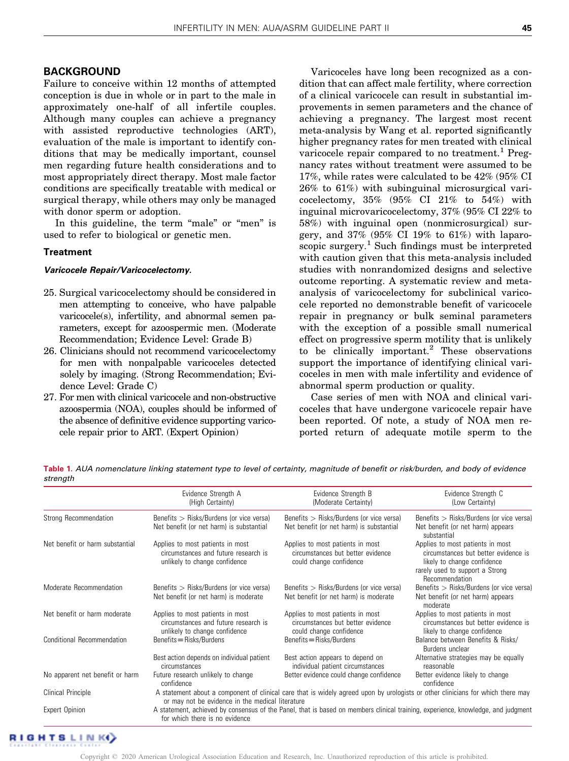## <span id="page-1-0"></span>BACKGROUND

Failure to conceive within 12 months of attempted conception is due in whole or in part to the male in approximately one-half of all infertile couples. Although many couples can achieve a pregnancy with assisted reproductive technologies (ART), evaluation of the male is important to identify conditions that may be medically important, counsel men regarding future health considerations and to most appropriately direct therapy. Most male factor conditions are specifically treatable with medical or surgical therapy, while others may only be managed with donor sperm or adoption.

In this guideline, the term "male" or "men" is used to refer to biological or genetic men.

#### Treatment

#### Varicocele Repair/Varicocelectomy.

- 25. Surgical varicocelectomy should be considered in men attempting to conceive, who have palpable varicocele(s), infertility, and abnormal semen parameters, except for azoospermic men. (Moderate Recommendation; Evidence Level: Grade B)
- 26. Clinicians should not recommend varicocelectomy for men with nonpalpable varicoceles detected solely by imaging. (Strong Recommendation; Evidence Level: Grade C)
- 27. For men with clinical varicocele and non-obstructive azoospermia (NOA), couples should be informed of the absence of definitive evidence supporting varicocele repair prior to ART. (Expert Opinion)

Varicoceles have long been recognized as a condition that can affect male fertility, where correction of a clinical varicocele can result in substantial improvements in semen parameters and the chance of achieving a pregnancy. The largest most recent meta-analysis by Wang et al. reported significantly higher pregnancy rates for men treated with clinical varicocele repair compared to no treatment.<sup>[1](#page-6-0)</sup> Pregnancy rates without treatment were assumed to be 17%, while rates were calculated to be 42% (95% CI 26% to 61%) with subinguinal microsurgical varicocelectomy,  $35\%$   $(95\% \text{ CI} 21\% \text{ to } 54\%)$  with inguinal microvaricocelectomy, 37% (95% CI 22% to 58%) with inguinal open (nonmicrosurgical) surgery, and 37% (95% CI 19% to 61%) with laparo-scopic surgery.<sup>[1](#page-6-0)</sup> Such findings must be interpreted with caution given that this meta-analysis included studies with nonrandomized designs and selective outcome reporting. A systematic review and metaanalysis of varicocelectomy for subclinical varicocele reported no demonstrable benefit of varicocele repair in pregnancy or bulk seminal parameters with the exception of a possible small numerical effect on progressive sperm motility that is unlikely to be clinically important.<sup>[2](#page-6-0)</sup> These observations support the importance of identifying clinical varicoceles in men with male infertility and evidence of abnormal sperm production or quality.

Case series of men with NOA and clinical varicoceles that have undergone varicocele repair have been reported. Of note, a study of NOA men reported return of adequate motile sperm to the

Table 1. AUA nomenclature linking statement type to level of certainty, magnitude of benefit or risk/burden, and body of evidence strength

|                                 | Evidence Strength A<br>(High Certainty)                                                                                                                                             | Evidence Strength B<br>(Moderate Certainty)                                                      | Evidence Strength C<br>(Low Certainty)                                                                                                                       |
|---------------------------------|-------------------------------------------------------------------------------------------------------------------------------------------------------------------------------------|--------------------------------------------------------------------------------------------------|--------------------------------------------------------------------------------------------------------------------------------------------------------------|
| Strong Recommendation           | Benefits $>$ Risks/Burdens (or vice versa)<br>Net benefit (or net harm) is substantial                                                                                              | Benefits $>$ Risks/Burdens (or vice versa)<br>Net benefit (or net harm) is substantial           | Benefits $>$ Risks/Burdens (or vice versa)<br>Net benefit (or net harm) appears<br>substantial                                                               |
| Net benefit or harm substantial | Applies to most patients in most<br>circumstances and future research is<br>unlikely to change confidence                                                                           | Applies to most patients in most<br>circumstances but better evidence<br>could change confidence | Applies to most patients in most<br>circumstances but better evidence is<br>likely to change confidence<br>rarely used to support a Strong<br>Recommendation |
| Moderate Recommendation         | Benefits $>$ Risks/Burdens (or vice versa)<br>Net benefit (or net harm) is moderate                                                                                                 | Benefits $>$ Risks/Burdens (or vice versa)<br>Net benefit (or net harm) is moderate              | Benefits $>$ Risks/Burdens (or vice versa)<br>Net benefit (or net harm) appears<br>moderate                                                                  |
| Net benefit or harm moderate    | Applies to most patients in most<br>circumstances and future research is<br>unlikely to change confidence                                                                           | Applies to most patients in most<br>circumstances but better evidence<br>could change confidence | Applies to most patients in most<br>circumstances but better evidence is<br>likely to change confidence                                                      |
| Conditional Recommendation      | Benefits = Risks/Burdens                                                                                                                                                            | Benefits = Risks/Burdens                                                                         | Balance between Benefits & Risks/<br>Burdens unclear                                                                                                         |
|                                 | Best action depends on individual patient<br>circumstances                                                                                                                          | Best action appears to depend on<br>individual patient circumstances                             | Alternative strategies may be equally<br>reasonable                                                                                                          |
| No apparent net benefit or harm | Future research unlikely to change<br>confidence                                                                                                                                    | Better evidence could change confidence                                                          | Better evidence likely to change<br>confidence                                                                                                               |
| Clinical Principle              | A statement about a component of clinical care that is widely agreed upon by urologists or other clinicians for which there may<br>or may not be evidence in the medical literature |                                                                                                  |                                                                                                                                                              |
| Expert Opinion                  | A statement, achieved by consensus of the Panel, that is based on members clinical training, experience, knowledge, and judgment<br>for which there is no evidence                  |                                                                                                  |                                                                                                                                                              |

RIGHTSLINK)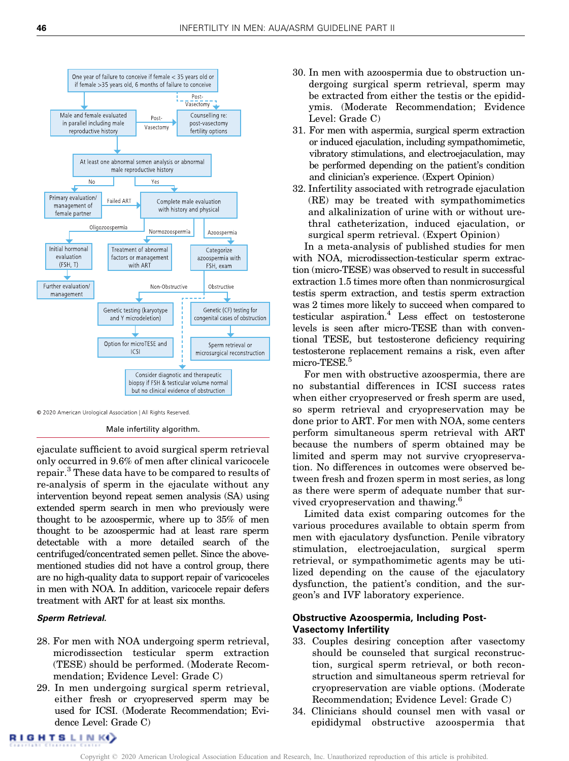<span id="page-2-0"></span>

© 2020 American Urological Association | All Rights Reserved.

Male infertility algorithm.

ejaculate sufficient to avoid surgical sperm retrieval only occurred in 9.6% of men after clinical varicocele repair.[3](#page-6-0) These data have to be compared to results of re-analysis of sperm in the ejaculate without any intervention beyond repeat semen analysis (SA) using extended sperm search in men who previously were thought to be azoospermic, where up to 35% of men thought to be azoospermic had at least rare sperm detectable with a more detailed search of the centrifuged/concentrated semen pellet. Since the abovementioned studies did not have a control group, there are no high-quality data to support repair of varicoceles in men with NOA. In addition, varicocele repair defers treatment with ART for at least six months.

#### Sperm Retrieval.

- 28. For men with NOA undergoing sperm retrieval, microdissection testicular sperm extraction (TESE) should be performed. (Moderate Recommendation; Evidence Level: Grade C)
- 29. In men undergoing surgical sperm retrieval, either fresh or cryopreserved sperm may be used for ICSI. (Moderate Recommendation; Evidence Level: Grade C)
- 30. In men with azoospermia due to obstruction undergoing surgical sperm retrieval, sperm may be extracted from either the testis or the epididymis. (Moderate Recommendation; Evidence Level: Grade C)
- 31. For men with aspermia, surgical sperm extraction or induced ejaculation, including sympathomimetic, vibratory stimulations, and electroejaculation, may be performed depending on the patient's condition and clinician's experience. (Expert Opinion)
- 32. Infertility associated with retrograde ejaculation (RE) may be treated with sympathomimetics and alkalinization of urine with or without urethral catheterization, induced ejaculation, or surgical sperm retrieval. (Expert Opinion)

In a meta-analysis of published studies for men with NOA, microdissection-testicular sperm extraction (micro-TESE) was observed to result in successful extraction 1.5 times more often than nonmicrosurgical testis sperm extraction, and testis sperm extraction was 2 times more likely to succeed when compared to testicular aspiration. $4$  Less effect on testosterone levels is seen after micro-TESE than with conventional TESE, but testosterone deficiency requiring testosterone replacement remains a risk, even after micro-TESE.<sup>5</sup>

For men with obstructive azoospermia, there are no substantial differences in ICSI success rates when either cryopreserved or fresh sperm are used, so sperm retrieval and cryopreservation may be done prior to ART. For men with NOA, some centers perform simultaneous sperm retrieval with ART because the numbers of sperm obtained may be limited and sperm may not survive cryopreservation. No differences in outcomes were observed between fresh and frozen sperm in most series, as long as there were sperm of adequate number that sur-vived cryopreservation and thawing.<sup>[6](#page-6-0)</sup>

Limited data exist comparing outcomes for the various procedures available to obtain sperm from men with ejaculatory dysfunction. Penile vibratory stimulation, electroejaculation, surgical sperm retrieval, or sympathomimetic agents may be utilized depending on the cause of the ejaculatory dysfunction, the patient's condition, and the surgeon's and IVF laboratory experience.

### Obstructive Azoospermia, Including Post-Vasectomy Infertility

- 33. Couples desiring conception after vasectomy should be counseled that surgical reconstruction, surgical sperm retrieval, or both reconstruction and simultaneous sperm retrieval for cryopreservation are viable options. (Moderate Recommendation; Evidence Level: Grade C)
- 34. Clinicians should counsel men with vasal or epididymal obstructive azoospermia that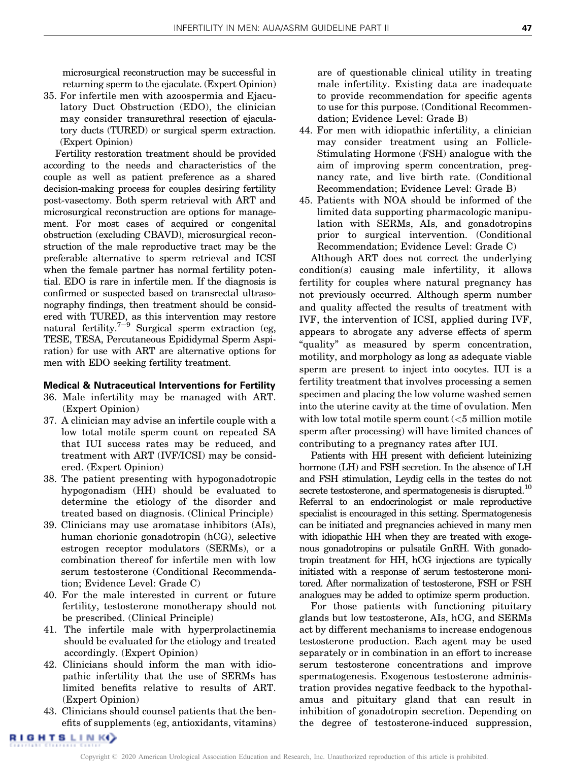microsurgical reconstruction may be successful in returning sperm to the ejaculate. (Expert Opinion)

35. For infertile men with azoospermia and Ejaculatory Duct Obstruction (EDO), the clinician may consider transurethral resection of ejaculatory ducts (TURED) or surgical sperm extraction. (Expert Opinion)

Fertility restoration treatment should be provided according to the needs and characteristics of the couple as well as patient preference as a shared decision-making process for couples desiring fertility post-vasectomy. Both sperm retrieval with ART and microsurgical reconstruction are options for management. For most cases of acquired or congenital obstruction (excluding CBAVD), microsurgical reconstruction of the male reproductive tract may be the preferable alternative to sperm retrieval and ICSI when the female partner has normal fertility potential. EDO is rare in infertile men. If the diagnosis is confirmed or suspected based on transrectal ultrasonography findings, then treatment should be considered with TURED, as this intervention may restore natural fertility.<sup>7-9</sup> Surgical sperm extraction (eg, TESE, TESA, Percutaneous Epididymal Sperm Aspiration) for use with ART are alternative options for men with EDO seeking fertility treatment.

#### Medical & Nutraceutical Interventions for Fertility

- 36. Male infertility may be managed with ART. (Expert Opinion)
- 37. A clinician may advise an infertile couple with a low total motile sperm count on repeated SA that IUI success rates may be reduced, and treatment with ART (IVF/ICSI) may be considered. (Expert Opinion)
- 38. The patient presenting with hypogonadotropic hypogonadism (HH) should be evaluated to determine the etiology of the disorder and treated based on diagnosis. (Clinical Principle)
- 39. Clinicians may use aromatase inhibitors (AIs), human chorionic gonadotropin (hCG), selective estrogen receptor modulators (SERMs), or a combination thereof for infertile men with low serum testosterone (Conditional Recommendation; Evidence Level: Grade C)
- 40. For the male interested in current or future fertility, testosterone monotherapy should not be prescribed. (Clinical Principle)
- 41. The infertile male with hyperprolactinemia should be evaluated for the etiology and treated accordingly. (Expert Opinion)
- 42. Clinicians should inform the man with idiopathic infertility that the use of SERMs has limited benefits relative to results of ART. (Expert Opinion)
- 43. Clinicians should counsel patients that the benefits of supplements (eg, antioxidants, vitamins)

are of questionable clinical utility in treating male infertility. Existing data are inadequate to provide recommendation for specific agents to use for this purpose. (Conditional Recommendation; Evidence Level: Grade B)

- 44. For men with idiopathic infertility, a clinician may consider treatment using an Follicle-Stimulating Hormone (FSH) analogue with the aim of improving sperm concentration, pregnancy rate, and live birth rate. (Conditional Recommendation; Evidence Level: Grade B)
- 45. Patients with NOA should be informed of the limited data supporting pharmacologic manipulation with SERMs, AIs, and gonadotropins prior to surgical intervention. (Conditional Recommendation; Evidence Level: Grade C)

Although ART does not correct the underlying condition(s) causing male infertility, it allows fertility for couples where natural pregnancy has not previously occurred. Although sperm number and quality affected the results of treatment with IVF, the intervention of ICSI, applied during IVF, appears to abrogate any adverse effects of sperm "quality" as measured by sperm concentration, motility, and morphology as long as adequate viable sperm are present to inject into oocytes. IUI is a fertility treatment that involves processing a semen specimen and placing the low volume washed semen into the uterine cavity at the time of ovulation. Men with low total motile sperm count (<5 million motile sperm after processing) will have limited chances of contributing to a pregnancy rates after IUI.

Patients with HH present with deficient luteinizing hormone (LH) and FSH secretion. In the absence of LH and FSH stimulation, Leydig cells in the testes do not secrete testosterone, and spermatogenesis is disrupted.<sup>10</sup> Referral to an endocrinologist or male reproductive specialist is encouraged in this setting. Spermatogenesis can be initiated and pregnancies achieved in many men with idiopathic HH when they are treated with exogenous gonadotropins or pulsatile GnRH. With gonadotropin treatment for HH, hCG injections are typically initiated with a response of serum testosterone monitored. After normalization of testosterone, FSH or FSH analogues may be added to optimize sperm production.

For those patients with functioning pituitary glands but low testosterone, AIs, hCG, and SERMs act by different mechanisms to increase endogenous testosterone production. Each agent may be used separately or in combination in an effort to increase serum testosterone concentrations and improve spermatogenesis. Exogenous testosterone administration provides negative feedback to the hypothalamus and pituitary gland that can result in inhibition of gonadotropin secretion. Depending on the degree of testosterone-induced suppression,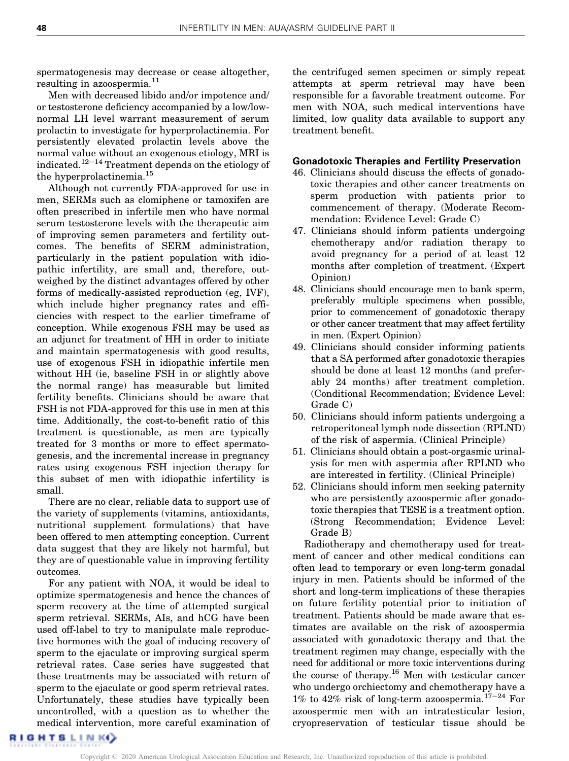spermatogenesis may decrease or cease altogether, resulting in azoospermia.<sup>[11](#page-7-0)</sup>

Men with decreased libido and/or impotence and/ or testosterone deficiency accompanied by a low/lownormal LH level warrant measurement of serum prolactin to investigate for hyperprolactinemia. For persistently elevated prolactin levels above the normal value without an exogenous etiology, MRI is indicated.<sup>12-14</sup> Treatment depends on the etiology of the hyperprolactinemia.<sup>15</sup>

Although not currently FDA-approved for use in men, SERMs such as clomiphene or tamoxifen are often prescribed in infertile men who have normal serum testosterone levels with the therapeutic aim of improving semen parameters and fertility outcomes. The benefits of SERM administration, particularly in the patient population with idiopathic infertility, are small and, therefore, outweighed by the distinct advantages offered by other forms of medically-assisted reproduction (eg, IVF), which include higher pregnancy rates and efficiencies with respect to the earlier timeframe of conception. While exogenous FSH may be used as an adjunct for treatment of HH in order to initiate and maintain spermatogenesis with good results, use of exogenous FSH in idiopathic infertile men without HH (ie, baseline FSH in or slightly above the normal range) has measurable but limited fertility benefits. Clinicians should be aware that FSH is not FDA-approved for this use in men at this time. Additionally, the cost-to-benefit ratio of this treatment is questionable, as men are typically treated for 3 months or more to effect spermatogenesis, and the incremental increase in pregnancy rates using exogenous FSH injection therapy for this subset of men with idiopathic infertility is small.

There are no clear, reliable data to support use of the variety of supplements (vitamins, antioxidants, nutritional supplement formulations) that have been offered to men attempting conception. Current data suggest that they are likely not harmful, but they are of questionable value in improving fertility outcomes.

For any patient with NOA, it would be ideal to optimize spermatogenesis and hence the chances of sperm recovery at the time of attempted surgical sperm retrieval. SERMs, AIs, and hCG have been used off-label to try to manipulate male reproductive hormones with the goal of inducing recovery of sperm to the ejaculate or improving surgical sperm retrieval rates. Case series have suggested that these treatments may be associated with return of sperm to the ejaculate or good sperm retrieval rates. Unfortunately, these studies have typically been uncontrolled, with a question as to whether the medical intervention, more careful examination of the centrifuged semen specimen or simply repeat attempts at sperm retrieval may have been responsible for a favorable treatment outcome. For men with NOA, such medical interventions have limited, low quality data available to support any treatment benefit.

#### Gonadotoxic Therapies and Fertility Preservation

- 46. Clinicians should discuss the effects of gonadotoxic therapies and other cancer treatments on sperm production with patients prior to commencement of therapy. (Moderate Recommendation: Evidence Level: Grade C)
- 47. Clinicians should inform patients undergoing chemotherapy and/or radiation therapy to avoid pregnancy for a period of at least 12 months after completion of treatment. (Expert Opinion)
- 48. Clinicians should encourage men to bank sperm, preferably multiple specimens when possible, prior to commencement of gonadotoxic therapy or other cancer treatment that may affect fertility in men. (Expert Opinion)
- 49. Clinicians should consider informing patients that a SA performed after gonadotoxic therapies should be done at least 12 months (and preferably 24 months) after treatment completion. (Conditional Recommendation; Evidence Level: Grade C)
- 50. Clinicians should inform patients undergoing a retroperitoneal lymph node dissection (RPLND) of the risk of aspermia. (Clinical Principle)
- 51. Clinicians should obtain a post-orgasmic urinalysis for men with aspermia after RPLND who are interested in fertility. (Clinical Principle)
- 52. Clinicians should inform men seeking paternity who are persistently azoospermic after gonadotoxic therapies that TESE is a treatment option. (Strong Recommendation; Evidence Level: Grade B)

Radiotherapy and chemotherapy used for treatment of cancer and other medical conditions can often lead to temporary or even long-term gonadal injury in men. Patients should be informed of the short and long-term implications of these therapies on future fertility potential prior to initiation of treatment. Patients should be made aware that estimates are available on the risk of azoospermia associated with gonadotoxic therapy and that the treatment regimen may change, especially with the need for additional or more toxic interventions during the course of therapy.<sup>[16](#page-7-0)</sup> Men with testicular cancer who undergo orchiectomy and chemotherapy have a 1% to 42% risk of long-term azoospermia.<sup>17-24</sup> For azoospermic men with an intratesticular lesion, cryopreservation of testicular tissue should be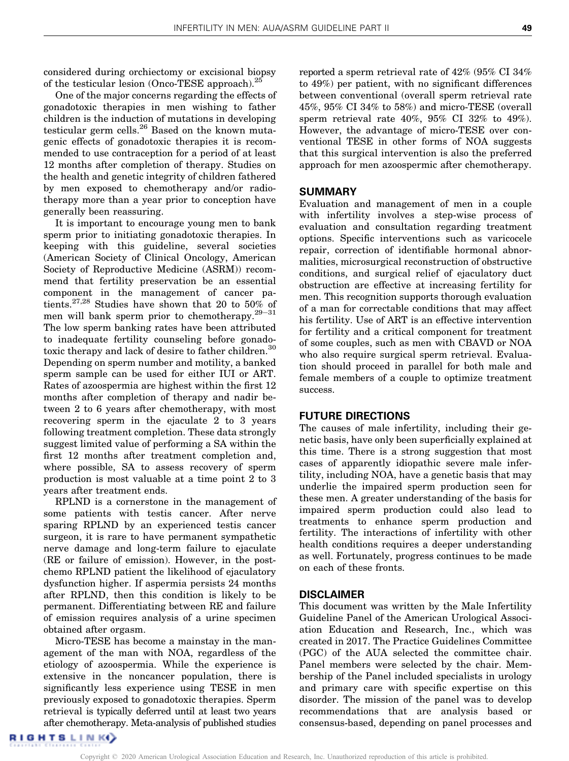considered during orchiectomy or excisional biopsy of the testicular lesion (Onco-TESE approach).<sup>[25](#page-7-0)</sup>

One of the major concerns regarding the effects of gonadotoxic therapies in men wishing to father children is the induction of mutations in developing testicular germ cells.<sup>26</sup> Based on the known mutagenic effects of gonadotoxic therapies it is recommended to use contraception for a period of at least 12 months after completion of therapy. Studies on the health and genetic integrity of children fathered by men exposed to chemotherapy and/or radiotherapy more than a year prior to conception have generally been reassuring.

It is important to encourage young men to bank sperm prior to initiating gonadotoxic therapies. In keeping with this guideline, several societies (American Society of Clinical Oncology, American Society of Reproductive Medicine (ASRM)) recommend that fertility preservation be an essential component in the management of cancer patients.27,28 Studies have shown that 20 to 50% of men will bank sperm prior to chemotherapy. $29-31$ The low sperm banking rates have been attributed to inadequate fertility counseling before gonado-toxic therapy and lack of desire to father children.<sup>[30](#page-7-0)</sup> Depending on sperm number and motility, a banked sperm sample can be used for either IUI or ART. Rates of azoospermia are highest within the first 12 months after completion of therapy and nadir between 2 to 6 years after chemotherapy, with most recovering sperm in the ejaculate 2 to 3 years following treatment completion. These data strongly suggest limited value of performing a SA within the first 12 months after treatment completion and, where possible, SA to assess recovery of sperm production is most valuable at a time point 2 to 3 years after treatment ends.

RPLND is a cornerstone in the management of some patients with testis cancer. After nerve sparing RPLND by an experienced testis cancer surgeon, it is rare to have permanent sympathetic nerve damage and long-term failure to ejaculate (RE or failure of emission). However, in the postchemo RPLND patient the likelihood of ejaculatory dysfunction higher. If aspermia persists 24 months after RPLND, then this condition is likely to be permanent. Differentiating between RE and failure of emission requires analysis of a urine specimen obtained after orgasm.

Micro-TESE has become a mainstay in the management of the man with NOA, regardless of the etiology of azoospermia. While the experience is extensive in the noncancer population, there is significantly less experience using TESE in men previously exposed to gonadotoxic therapies. Sperm retrieval is typically deferred until at least two years after chemotherapy. Meta-analysis of published studies

reported a sperm retrieval rate of 42% (95% CI 34% to 49%) per patient, with no significant differences between conventional (overall sperm retrieval rate 45%, 95% CI 34% to 58%) and micro-TESE (overall sperm retrieval rate  $40\%$ ,  $95\%$  CI  $32\%$  to  $49\%$ ). However, the advantage of micro-TESE over conventional TESE in other forms of NOA suggests that this surgical intervention is also the preferred approach for men azoospermic after chemotherapy.

### **SUMMARY**

Evaluation and management of men in a couple with infertility involves a step-wise process of evaluation and consultation regarding treatment options. Specific interventions such as varicocele repair, correction of identifiable hormonal abnormalities, microsurgical reconstruction of obstructive conditions, and surgical relief of ejaculatory duct obstruction are effective at increasing fertility for men. This recognition supports thorough evaluation of a man for correctable conditions that may affect his fertility. Use of ART is an effective intervention for fertility and a critical component for treatment of some couples, such as men with CBAVD or NOA who also require surgical sperm retrieval. Evaluation should proceed in parallel for both male and female members of a couple to optimize treatment success.

#### FUTURE DIRECTIONS

The causes of male infertility, including their genetic basis, have only been superficially explained at this time. There is a strong suggestion that most cases of apparently idiopathic severe male infertility, including NOA, have a genetic basis that may underlie the impaired sperm production seen for these men. A greater understanding of the basis for impaired sperm production could also lead to treatments to enhance sperm production and fertility. The interactions of infertility with other health conditions requires a deeper understanding as well. Fortunately, progress continues to be made on each of these fronts.

#### DISCLAIMER

This document was written by the Male Infertility Guideline Panel of the American Urological Association Education and Research, Inc., which was created in 2017. The Practice Guidelines Committee (PGC) of the AUA selected the committee chair. Panel members were selected by the chair. Membership of the Panel included specialists in urology and primary care with specific expertise on this disorder. The mission of the panel was to develop recommendations that are analysis based or consensus-based, depending on panel processes and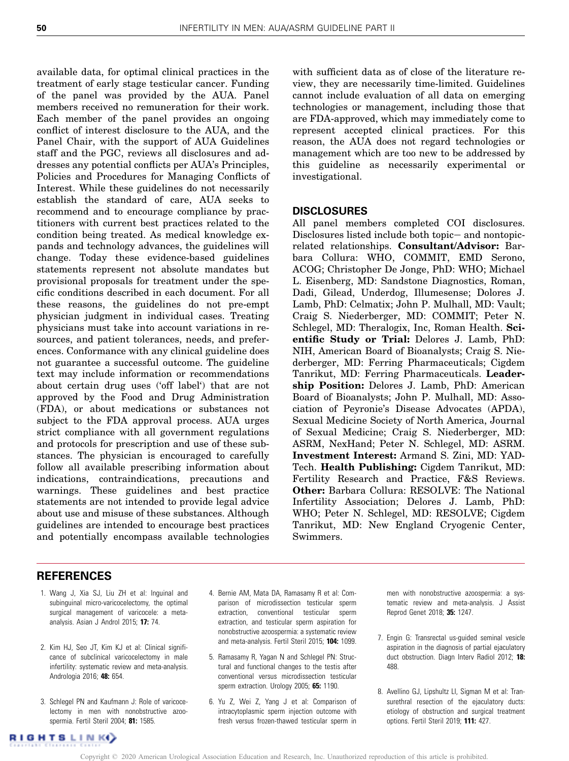<span id="page-6-0"></span>available data, for optimal clinical practices in the treatment of early stage testicular cancer. Funding of the panel was provided by the AUA. Panel members received no remuneration for their work. Each member of the panel provides an ongoing conflict of interest disclosure to the AUA, and the Panel Chair, with the support of AUA Guidelines staff and the PGC, reviews all disclosures and addresses any potential conflicts per AUA's Principles, Policies and Procedures for Managing Conflicts of Interest. While these guidelines do not necessarily establish the standard of care, AUA seeks to recommend and to encourage compliance by practitioners with current best practices related to the condition being treated. As medical knowledge expands and technology advances, the guidelines will change. Today these evidence-based guidelines statements represent not absolute mandates but provisional proposals for treatment under the specific conditions described in each document. For all these reasons, the guidelines do not pre-empt physician judgment in individual cases. Treating physicians must take into account variations in resources, and patient tolerances, needs, and preferences. Conformance with any clinical guideline does not guarantee a successful outcome. The guideline text may include information or recommendations about certain drug uses ('off label') that are not approved by the Food and Drug Administration (FDA), or about medications or substances not subject to the FDA approval process. AUA urges strict compliance with all government regulations and protocols for prescription and use of these substances. The physician is encouraged to carefully follow all available prescribing information about indications, contraindications, precautions and warnings. These guidelines and best practice statements are not intended to provide legal advice about use and misuse of these substances. Although guidelines are intended to encourage best practices and potentially encompass available technologies

with sufficient data as of close of the literature review, they are necessarily time-limited. Guidelines cannot include evaluation of all data on emerging technologies or management, including those that are FDA-approved, which may immediately come to represent accepted clinical practices. For this reason, the AUA does not regard technologies or management which are too new to be addressed by this guideline as necessarily experimental or investigational.

## DISCLOSURES

All panel members completed COI disclosures.  $Disclosures$  listed include both topic- and nontopicrelated relationships. Consultant/Advisor: Barbara Collura: WHO, COMMIT, EMD Serono, ACOG; Christopher De Jonge, PhD: WHO; Michael L. Eisenberg, MD: Sandstone Diagnostics, Roman, Dadi, Gilead, Underdog, Illumesense; Dolores J. Lamb, PhD: Celmatix; John P. Mulhall, MD: Vault; Craig S. Niederberger, MD: COMMIT; Peter N. Schlegel, MD: Theralogix, Inc, Roman Health. Scientific Study or Trial: Delores J. Lamb, PhD: NIH, American Board of Bioanalysts; Craig S. Niederberger, MD: Ferring Pharmaceuticals; Cigdem Tanrikut, MD: Ferring Pharmaceuticals. Leadership Position: Delores J. Lamb, PhD: American Board of Bioanalysts; John P. Mulhall, MD: Association of Peyronie's Disease Advocates (APDA), Sexual Medicine Society of North America, Journal of Sexual Medicine; Craig S. Niederberger, MD: ASRM, NexHand; Peter N. Schlegel, MD: ASRM. Investment Interest: Armand S. Zini, MD: YAD-Tech. Health Publishing: Cigdem Tanrikut, MD: Fertility Research and Practice, F&S Reviews. Other: Barbara Collura: RESOLVE: The National Infertility Association; Delores J. Lamb, PhD: WHO; Peter N. Schlegel, MD: RESOLVE; Cigdem Tanrikut, MD: New England Cryogenic Center, Swimmers.

## **REFERENCES**

- 1. Wang J, Xia SJ, Liu ZH et al: Inguinal and subinguinal micro-varicocelectomy, the optimal surgical management of varicocele: a metaanalysis. Asian J Androl 2015; 17: 74.
- 2. Kim HJ, Seo JT, Kim KJ et al: Clinical significance of subclinical varicocelectomy in male infertility: systematic review and meta-analysis. Andrologia 2016; 48: 654.
- 3. Schlegel PN and Kaufmann J: Role of varicocelectomy in men with nonobstructive azoospermia. Fertil Steril 2004; 81: 1585.
- 4. Bernie AM, Mata DA, Ramasamy R et al: Comparison of microdissection testicular sperm extraction, conventional testicular sperm extraction, and testicular sperm aspiration for nonobstructive azoospermia: a systematic review and meta-analysis. Fertil Steril 2015; 104: 1099.
- 5. Ramasamy R, Yagan N and Schlegel PN: Structural and functional changes to the testis after conventional versus microdissection testicular sperm extraction. Urology 2005; 65: 1190.
- 6. Yu Z, Wei Z, Yang J et al: Comparison of intracytoplasmic sperm injection outcome with fresh versus frozen-thawed testicular sperm in

men with nonobstructive azoospermia: a systematic review and meta-analysis. J Assist Reprod Genet 2018; 35: 1247.

- 7. Engin G: Transrectal us-guided seminal vesicle aspiration in the diagnosis of partial ejaculatory duct obstruction. Diagn Interv Radiol 2012; 18: 488.
- 8. Avellino GJ, Lipshultz LI, Sigman M et al: Transurethral resection of the ejaculatory ducts: etiology of obstruction and surgical treatment options. Fertil Steril 2019; 111: 427.